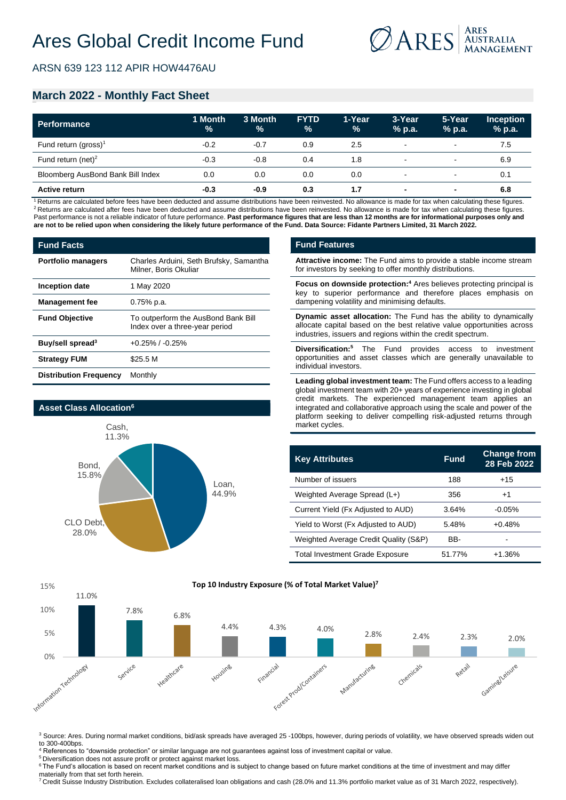

ARSN 639 123 112 APIR HOW4476AU

# **March 2022 - Monthly Fact Sheet**

| Performance                       | 1 Month<br>$\frac{9}{6}$ | 3 Month<br>% | <b>FYTD</b><br>$\frac{9}{6}$ | 1-Year<br>$\%$ | 3-Year<br>% p.a.         | 5-Year<br>% p.a. | <b>Inception</b><br>% p.a. |
|-----------------------------------|--------------------------|--------------|------------------------------|----------------|--------------------------|------------------|----------------------------|
| Fund return (gross) <sup>1</sup>  | $-0.2$                   | $-0.7$       | 0.9                          | 2.5            | $\overline{\phantom{a}}$ | $\,$             | 7.5                        |
| Fund return (net) <sup>2</sup>    | $-0.3$                   | $-0.8$       | 0.4                          | 1.8            | $\overline{\phantom{a}}$ | $\,$             | 6.9                        |
| Bloomberg AusBond Bank Bill Index | 0.0                      | 0.0          | 0.0                          | 0.0            | $\overline{\phantom{a}}$ |                  | 0.1                        |
| <b>Active return</b>              | $-0.3$                   | $-0.9$       | 0.3                          | 1.7            | $\overline{\phantom{a}}$ | $\blacksquare$   | 6.8                        |

<sup>1</sup> Returns are calculated before fees have been deducted and assume distributions have been reinvested. No allowance is made for tax when calculating these figures. <sup>2</sup> Returns are calculated after fees have been deducted and assume distributions have been reinvested. No allowance is made for tax when calculating these figures. Past performance is not a reliable indicator of future performance. Past performance figures that are less than 12 months are for informational purposes only and **are not to be relied upon when considering the likely future performance of the Fund. Data Source: Fidante Partners Limited, 31 March 2022.**

| <b>Fund Facts</b>             |                                                                       |  |  |  |
|-------------------------------|-----------------------------------------------------------------------|--|--|--|
| <b>Portfolio managers</b>     | Charles Arduini, Seth Brufsky, Samantha<br>Milner, Boris Okuliar      |  |  |  |
| Inception date                | 1 May 2020                                                            |  |  |  |
| <b>Management fee</b>         | $0.75%$ p.a.                                                          |  |  |  |
| <b>Fund Objective</b>         | To outperform the AusBond Bank Bill<br>Index over a three-year period |  |  |  |
| Buy/sell spread <sup>3</sup>  | $+0.25\%$ / $-0.25\%$                                                 |  |  |  |
| <b>Strategy FUM</b>           | \$25.5 M                                                              |  |  |  |
| <b>Distribution Frequency</b> | Monthly                                                               |  |  |  |



### **Fund Features**

**Attractive income:** The Fund aims to provide a stable income stream for investors by seeking to offer monthly distributions.

**Focus on downside protection:<sup>4</sup>** Ares believes protecting principal is key to superior performance and therefore places emphasis on dampening volatility and minimising defaults.

**Dynamic asset allocation:** The Fund has the ability to dynamically allocate capital based on the best relative value opportunities across industries, issuers and regions within the credit spectrum.

**Diversification:<sup>5</sup>** The Fund provides access to investment opportunities and asset classes which are generally unavailable to individual investors.

**Leading global investment team:** The Fund offers access to a leading global investment team with 20+ years of experience investing in global credit markets. The experienced management team applies an integrated and collaborative approach using the scale and power of the platform seeking to deliver compelling risk-adjusted returns through market cycles.

| <b>Key Attributes</b>                  | <b>Fund</b> | <b>Change from</b><br>28 Feb 2022 |
|----------------------------------------|-------------|-----------------------------------|
| Number of issuers                      | 188         | $+15$                             |
| Weighted Average Spread (L+)           | 356         | $+1$                              |
| Current Yield (Fx Adjusted to AUD)     | 3.64%       | $-0.05%$                          |
| Yield to Worst (Fx Adjusted to AUD)    | 5.48%       | $+0.48%$                          |
| Weighted Average Credit Quality (S&P)  | BB-         |                                   |
| <b>Total Investment Grade Exposure</b> | 51.77%      | $+1.36%$                          |



<sup>3</sup> Source: Ares. During normal market conditions, bid/ask spreads have averaged 25 -100bps, however, during periods of volatility, we have observed spreads widen out to 300-400bps.

<sup>4</sup> References to "downside protection" or similar language are not guarantees against loss of investment capital or value.

<sup>5</sup> Diversification does not assure profit or protect against market loss.

<sup>6</sup> The Fund's allocation is based on recent market conditions and is subject to change based on future market conditions at the time of investment and may differ materially from that set forth herein.

<sup>7</sup>Credit Suisse Industry Distribution. Excludes collateralised loan obligations and cash (28.0% and 11.3% portfolio market value as of 31 March 2022, respectively).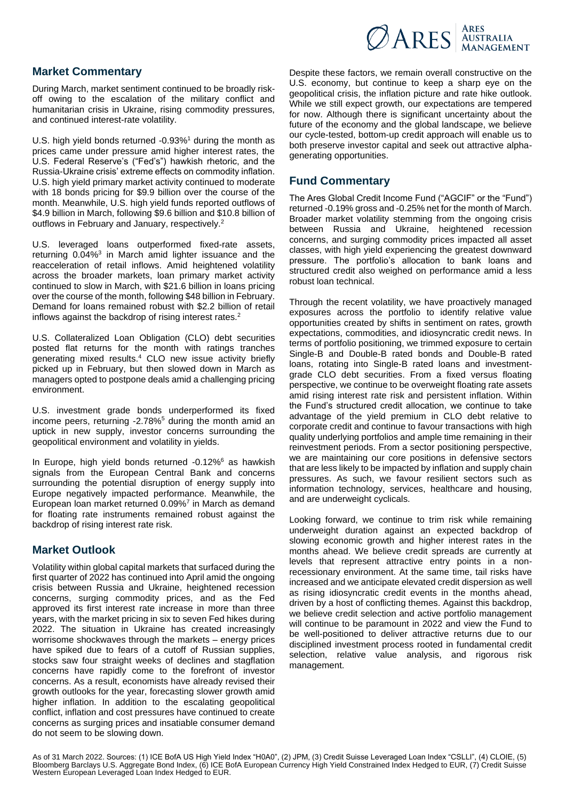

## **Market Commentary**

During March, market sentiment continued to be broadly riskoff owing to the escalation of the military conflict and humanitarian crisis in Ukraine, rising commodity pressures, and continued interest-rate volatility.

U.S. high yield bonds returned -0.93%<sup>1</sup> during the month as prices came under pressure amid higher interest rates, the U.S. Federal Reserve's ("Fed's") hawkish rhetoric, and the Russia-Ukraine crisis' extreme effects on commodity inflation. U.S. high yield primary market activity continued to moderate with 18 bonds pricing for \$9.9 billion over the course of the month. Meanwhile, U.S. high yield funds reported outflows of \$4.9 billion in March, following \$9.6 billion and \$10.8 billion of outflows in February and January, respectively.<sup>2</sup>

U.S. leveraged loans outperformed fixed-rate assets, returning 0.04%<sup>3</sup> in March amid lighter issuance and the reacceleration of retail inflows. Amid heightened volatility across the broader markets, loan primary market activity continued to slow in March, with \$21.6 billion in loans pricing over the course of the month, following \$48 billion in February. Demand for loans remained robust with \$2.2 billion of retail inflows against the backdrop of rising interest rates.<sup>2</sup>

U.S. Collateralized Loan Obligation (CLO) debt securities posted flat returns for the month with ratings tranches generating mixed results.<sup>4</sup> CLO new issue activity briefly picked up in February, but then slowed down in March as managers opted to postpone deals amid a challenging pricing environment.

U.S. investment grade bonds underperformed its fixed income peers, returning -2.78%<sup>5</sup> during the month amid an uptick in new supply, investor concerns surrounding the geopolitical environment and volatility in yields.

In Europe, high yield bonds returned -0.12%<sup>6</sup> as hawkish signals from the European Central Bank and concerns surrounding the potential disruption of energy supply into Europe negatively impacted performance. Meanwhile, the European loan market returned 0.09%<sup>7</sup> in March as demand for floating rate instruments remained robust against the backdrop of rising interest rate risk.

# **Market Outlook**

Volatility within global capital markets that surfaced during the first quarter of 2022 has continued into April amid the ongoing crisis between Russia and Ukraine, heightened recession concerns, surging commodity prices, and as the Fed approved its first interest rate increase in more than three years, with the market pricing in six to seven Fed hikes during 2022. The situation in Ukraine has created increasingly worrisome shockwaves through the markets – energy prices have spiked due to fears of a cutoff of Russian supplies, stocks saw four straight weeks of declines and stagflation concerns have rapidly come to the forefront of investor concerns. As a result, economists have already revised their growth outlooks for the year, forecasting slower growth amid higher inflation. In addition to the escalating geopolitical conflict, inflation and cost pressures have continued to create concerns as surging prices and insatiable consumer demand do not seem to be slowing down.

Despite these factors, we remain overall constructive on the U.S. economy, but continue to keep a sharp eye on the geopolitical crisis, the inflation picture and rate hike outlook. While we still expect growth, our expectations are tempered for now. Although there is significant uncertainty about the future of the economy and the global landscape, we believe our cycle-tested, bottom-up credit approach will enable us to both preserve investor capital and seek out attractive alphagenerating opportunities.

## **Fund Commentary**

The Ares Global Credit Income Fund ("AGCIF" or the "Fund") returned -0.19% gross and -0.25% net for the month of March. Broader market volatility stemming from the ongoing crisis between Russia and Ukraine, heightened recession concerns, and surging commodity prices impacted all asset classes, with high yield experiencing the greatest downward pressure. The portfolio's allocation to bank loans and structured credit also weighed on performance amid a less robust loan technical.

Through the recent volatility, we have proactively managed exposures across the portfolio to identify relative value opportunities created by shifts in sentiment on rates, growth expectations, commodities, and idiosyncratic credit news. In terms of portfolio positioning, we trimmed exposure to certain Single-B and Double-B rated bonds and Double-B rated loans, rotating into Single-B rated loans and investmentgrade CLO debt securities. From a fixed versus floating perspective, we continue to be overweight floating rate assets amid rising interest rate risk and persistent inflation. Within the Fund's structured credit allocation, we continue to take advantage of the yield premium in CLO debt relative to corporate credit and continue to favour transactions with high quality underlying portfolios and ample time remaining in their reinvestment periods. From a sector positioning perspective, we are maintaining our core positions in defensive sectors that are less likely to be impacted by inflation and supply chain pressures. As such, we favour resilient sectors such as information technology, services, healthcare and housing, and are underweight cyclicals.

Looking forward, we continue to trim risk while remaining underweight duration against an expected backdrop of slowing economic growth and higher interest rates in the months ahead. We believe credit spreads are currently at levels that represent attractive entry points in a nonrecessionary environment. At the same time, tail risks have increased and we anticipate elevated credit dispersion as well as rising idiosyncratic credit events in the months ahead, driven by a host of conflicting themes. Against this backdrop, we believe credit selection and active portfolio management will continue to be paramount in 2022 and view the Fund to be well-positioned to deliver attractive returns due to our disciplined investment process rooted in fundamental credit selection, relative value analysis, and rigorous risk management.

As of 31 March 2022. Sources: (1) ICE BofA US High Yield Index "H0A0", (2) JPM, (3) Credit Suisse Leveraged Loan Index "CSLLI", (4) CLOIE, (5)<br>Bloomberg Barclays U.S. Aggregate Bond Index, (6) ICE BofA European Currency Hi Western European Leveraged Loan Index Hedged to EUR.